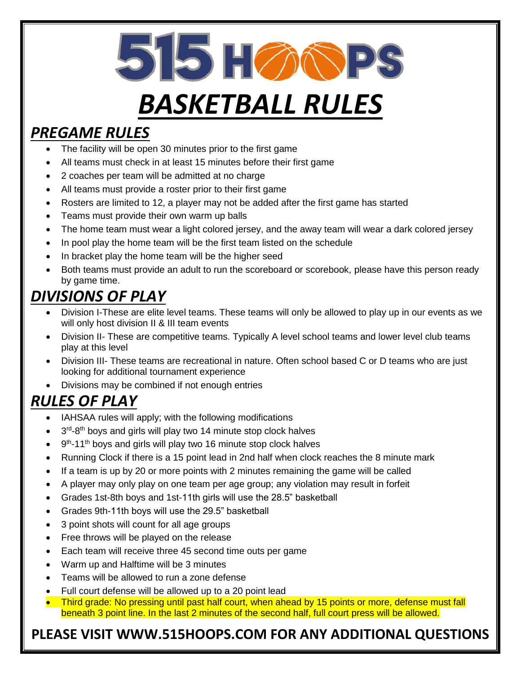515 H 20 PS

# *BASKETBALL RULES*

### *PREGAME RULES*

- The facility will be open 30 minutes prior to the first game
- All teams must check in at least 15 minutes before their first game
- 2 coaches per team will be admitted at no charge
- All teams must provide a roster prior to their first game
- Rosters are limited to 12, a player may not be added after the first game has started
- Teams must provide their own warm up balls
- The home team must wear a light colored jersey, and the away team will wear a dark colored jersey
- In pool play the home team will be the first team listed on the schedule
- In bracket play the home team will be the higher seed
- Both teams must provide an adult to run the scoreboard or scorebook, please have this person ready by game time.

## *DIVISIONS OF PLAY*

- Division I-These are elite level teams. These teams will only be allowed to play up in our events as we will only host division II & III team events
- Division II- These are competitive teams. Typically A level school teams and lower level club teams play at this level
- Division III- These teams are recreational in nature. Often school based C or D teams who are just looking for additional tournament experience
- Divisions may be combined if not enough entries

## *RULES OF PLAY*

- IAHSAA rules will apply; with the following modifications
- $\bullet$  3<sup>rd</sup>-8<sup>th</sup> boys and girls will play two 14 minute stop clock halves
- $\bullet$  9<sup>th</sup>-11<sup>th</sup> boys and girls will play two 16 minute stop clock halves
- Running Clock if there is a 15 point lead in 2nd half when clock reaches the 8 minute mark
- If a team is up by 20 or more points with 2 minutes remaining the game will be called
- A player may only play on one team per age group; any violation may result in forfeit
- Grades 1st-8th boys and 1st-11th girls will use the 28.5" basketball
- Grades 9th-11th boys will use the 29.5" basketball
- 3 point shots will count for all age groups
- Free throws will be played on the release
- Each team will receive three 45 second time outs per game
- Warm up and Halftime will be 3 minutes
- Teams will be allowed to run a zone defense
- Full court defense will be allowed up to a 20 point lead
- Third grade: No pressing until past half court, when ahead by 15 points or more, defense must fall beneath 3 point line. In the last 2 minutes of the second half, full court press will be allowed.

#### **PLEASE VISIT WWW.515HOOPS.COM FOR ANY ADDITIONAL QUESTIONS**